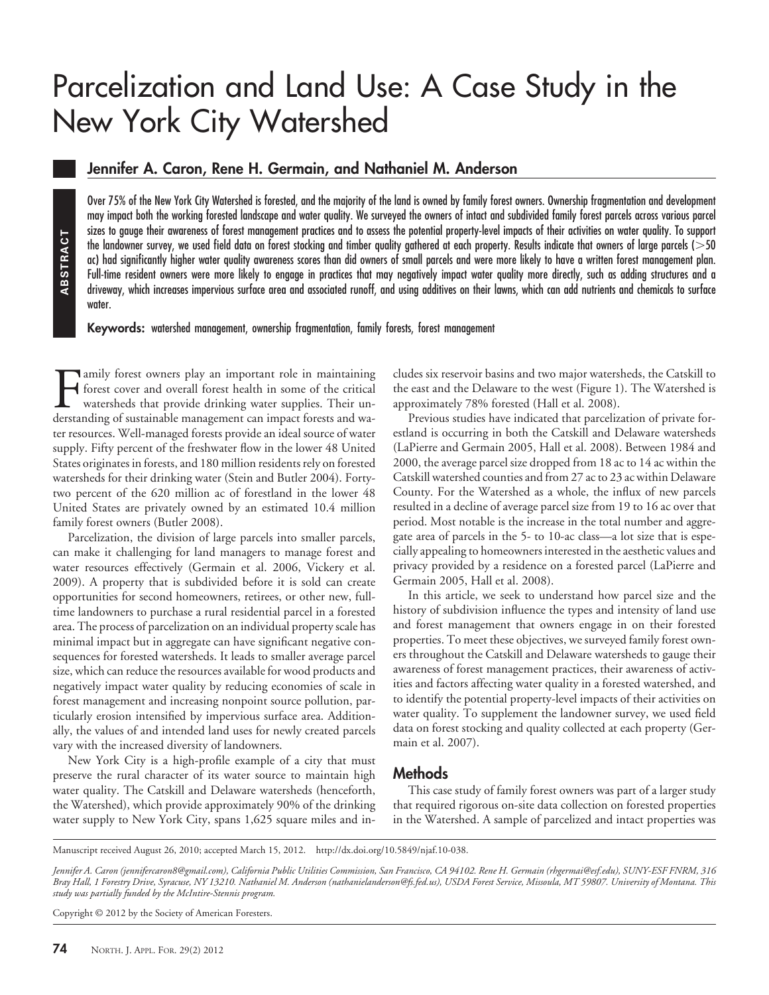# Parcelization and Land Use: A Case Study in the New York City Watershed

# **Jennifer A. Caron, Rene H. Germain, and Nathaniel M. Anderson**

Over 75% of the New York City Watershed is forested, and the majority of the land is owned by family forest owners. Ownership fragmentation and development may impact both the working forested landscape and water quality. We surveyed the owners of intact and subdivided family forest parcels across various parcel sizes to gauge their awareness of forest management practices and to assess the potential property-level impacts of their activities on water quality. To support the landowner survey, we used field data on forest stocking and timber quality gathered at each property. Results indicate that owners of large parcels (50 ac) had significantly higher water quality awareness scores than did owners of small parcels and were more likely to have a written forest management plan. Full-time resident owners were more likely to engage in practices that may negatively impact water quality more directly, such as adding structures and a driveway, which increases impervious surface area and associated runoff, and using additives on their lawns, which can add nutrients and chemicals to surface water.

**Keywords:** watershed management, ownership fragmentation, family forests, forest management

Family forest owners play an important role in maintaining<br>forest cover and overall forest health in some of the critical<br>watersheds that provide drinking water supplies. Their un-<br>derstanding of sustainable management can forest cover and overall forest health in some of the critical watersheds that provide drinking water supplies. Their understanding of sustainable management can impact forests and water resources. Well-managed forests provide an ideal source of water supply. Fifty percent of the freshwater flow in the lower 48 United States originates in forests, and 180 million residents rely on forested watersheds for their drinking water (Stein and Butler 2004). Fortytwo percent of the 620 million ac of forestland in the lower 48 United States are privately owned by an estimated 10.4 million family forest owners (Butler 2008).

Parcelization, the division of large parcels into smaller parcels, can make it challenging for land managers to manage forest and water resources effectively (Germain et al. 2006, Vickery et al. 2009). A property that is subdivided before it is sold can create opportunities for second homeowners, retirees, or other new, fulltime landowners to purchase a rural residential parcel in a forested area. The process of parcelization on an individual property scale has minimal impact but in aggregate can have significant negative consequences for forested watersheds. It leads to smaller average parcel size, which can reduce the resources available for wood products and negatively impact water quality by reducing economies of scale in forest management and increasing nonpoint source pollution, particularly erosion intensified by impervious surface area. Additionally, the values of and intended land uses for newly created parcels vary with the increased diversity of landowners. **Propagating the and the same to the same of the did spin the same of the full-lime resident owners were more full-lime resident owners were more full-lime resident owners were more divivewy, which increases impervivate.<br>** 

New York City is a high-profile example of a city that must preserve the rural character of its water source to maintain high water quality. The Catskill and Delaware watersheds (henceforth, the Watershed), which provide approximately 90% of the drinking water supply to New York City, spans 1,625 square miles and includes six reservoir basins and two major watersheds, the Catskill to the east and the Delaware to the west (Figure 1). The Watershed is approximately 78% forested (Hall et al. 2008).

Previous studies have indicated that parcelization of private forestland is occurring in both the Catskill and Delaware watersheds (LaPierre and Germain 2005, Hall et al. 2008). Between 1984 and 2000, the average parcel size dropped from 18 ac to 14 ac within the Catskill watershed counties and from 27 ac to 23 ac within Delaware County. For the Watershed as a whole, the influx of new parcels resulted in a decline of average parcel size from 19 to 16 ac over that period. Most notable is the increase in the total number and aggregate area of parcels in the 5- to 10-ac class—a lot size that is especially appealing to homeowners interested in the aesthetic values and privacy provided by a residence on a forested parcel (LaPierre and Germain 2005, Hall et al. 2008).

In this article, we seek to understand how parcel size and the history of subdivision influence the types and intensity of land use and forest management that owners engage in on their forested properties. To meet these objectives, we surveyed family forest owners throughout the Catskill and Delaware watersheds to gauge their awareness of forest management practices, their awareness of activities and factors affecting water quality in a forested watershed, and to identify the potential property-level impacts of their activities on water quality. To supplement the landowner survey, we used field data on forest stocking and quality collected at each property (Germain et al. 2007).

## **Methods**

This case study of family forest owners was part of a larger study that required rigorous on-site data collection on forested properties in the Watershed. A sample of parcelized and intact properties was

Manuscript received August 26, 2010; accepted March 15, 2012. http://dx.doi.org/10.5849/njaf.10-038.

*Jennifer A. Caron (jennifercaron8@gmail.com), California Public Utilities Commission, San Francisco, CA 94102. Rene H. Germain (rhgermai@esf.edu), SUNY-ESF FNRM, 316 Bray Hall, 1 Forestry Drive, Syracuse, NY 13210. Nathaniel M. Anderson (nathanielanderson@fs.fed.us), USDA Forest Service, Missoula, MT 59807. University of Montana. This study was partially funded by the McIntire-Stennis program.*

Copyright © 2012 by the Society of American Foresters.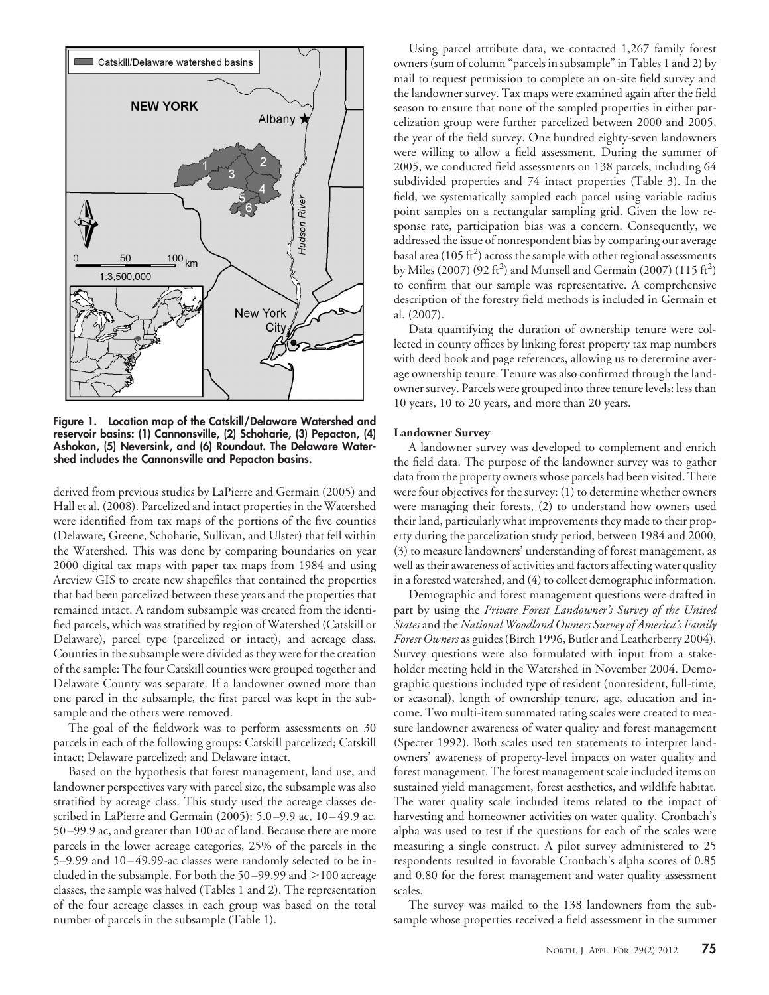

**Figure 1. Location map of the Catskill/Delaware Watershed and reservoir basins: (1) Cannonsville, (2) Schoharie, (3) Pepacton, (4) Ashokan, (5) Neversink, and (6) Roundout. The Delaware Watershed includes the Cannonsville and Pepacton basins.**

derived from previous studies by LaPierre and Germain (2005) and Hall et al. (2008). Parcelized and intact properties in the Watershed were identified from tax maps of the portions of the five counties (Delaware, Greene, Schoharie, Sullivan, and Ulster) that fell within the Watershed. This was done by comparing boundaries on year 2000 digital tax maps with paper tax maps from 1984 and using Arcview GIS to create new shapefiles that contained the properties that had been parcelized between these years and the properties that remained intact. A random subsample was created from the identified parcels, which was stratified by region of Watershed (Catskill or Delaware), parcel type (parcelized or intact), and acreage class. Counties in the subsample were divided as they were for the creation of the sample: The four Catskill counties were grouped together and Delaware County was separate. If a landowner owned more than one parcel in the subsample, the first parcel was kept in the subsample and the others were removed.

The goal of the fieldwork was to perform assessments on 30 parcels in each of the following groups: Catskill parcelized; Catskill intact; Delaware parcelized; and Delaware intact.

Based on the hypothesis that forest management, land use, and landowner perspectives vary with parcel size, the subsample was also stratified by acreage class. This study used the acreage classes described in LaPierre and Germain (2005): 5.0 –9.9 ac, 10 – 49.9 ac, 50 –99.9 ac, and greater than 100 ac of land. Because there are more parcels in the lower acreage categories, 25% of the parcels in the 5–9.99 and 10 – 49.99-ac classes were randomly selected to be included in the subsample. For both the  $50-99.99$  and  $>100$  acreage classes, the sample was halved (Tables 1 and 2). The representation of the four acreage classes in each group was based on the total number of parcels in the subsample (Table 1).

Using parcel attribute data, we contacted 1,267 family forest owners (sum of column "parcels in subsample" in Tables 1 and 2) by mail to request permission to complete an on-site field survey and the landowner survey. Tax maps were examined again after the field season to ensure that none of the sampled properties in either parcelization group were further parcelized between 2000 and 2005, the year of the field survey. One hundred eighty-seven landowners were willing to allow a field assessment. During the summer of 2005, we conducted field assessments on 138 parcels, including 64 subdivided properties and 74 intact properties (Table 3). In the field, we systematically sampled each parcel using variable radius point samples on a rectangular sampling grid. Given the low response rate, participation bias was a concern. Consequently, we addressed the issue of nonrespondent bias by comparing our average basal area (105 ft<sup>2</sup>) across the sample with other regional assessments by Miles (2007) (92 ft<sup>2</sup>) and Munsell and Germain (2007) (115 ft<sup>2</sup>) to confirm that our sample was representative. A comprehensive description of the forestry field methods is included in Germain et al. (2007).

Data quantifying the duration of ownership tenure were collected in county offices by linking forest property tax map numbers with deed book and page references, allowing us to determine average ownership tenure. Tenure was also confirmed through the landowner survey. Parcels were grouped into three tenure levels: less than 10 years, 10 to 20 years, and more than 20 years.

## **Landowner Survey**

A landowner survey was developed to complement and enrich the field data. The purpose of the landowner survey was to gather data from the property owners whose parcels had been visited. There were four objectives for the survey: (1) to determine whether owners were managing their forests, (2) to understand how owners used their land, particularly what improvements they made to their property during the parcelization study period, between 1984 and 2000, (3) to measure landowners' understanding of forest management, as well as their awareness of activities and factors affecting water quality in a forested watershed, and (4) to collect demographic information.

Demographic and forest management questions were drafted in part by using the *Private Forest Landowner's Survey of the United States* and the *National Woodland Owners Survey of America's Family Forest Owners* as guides (Birch 1996, Butler and Leatherberry 2004). Survey questions were also formulated with input from a stakeholder meeting held in the Watershed in November 2004. Demographic questions included type of resident (nonresident, full-time, or seasonal), length of ownership tenure, age, education and income. Two multi-item summated rating scales were created to measure landowner awareness of water quality and forest management (Specter 1992). Both scales used ten statements to interpret landowners' awareness of property-level impacts on water quality and forest management. The forest management scale included items on sustained yield management, forest aesthetics, and wildlife habitat. The water quality scale included items related to the impact of harvesting and homeowner activities on water quality. Cronbach's alpha was used to test if the questions for each of the scales were measuring a single construct. A pilot survey administered to 25 respondents resulted in favorable Cronbach's alpha scores of 0.85 and 0.80 for the forest management and water quality assessment scales.

The survey was mailed to the 138 landowners from the subsample whose properties received a field assessment in the summer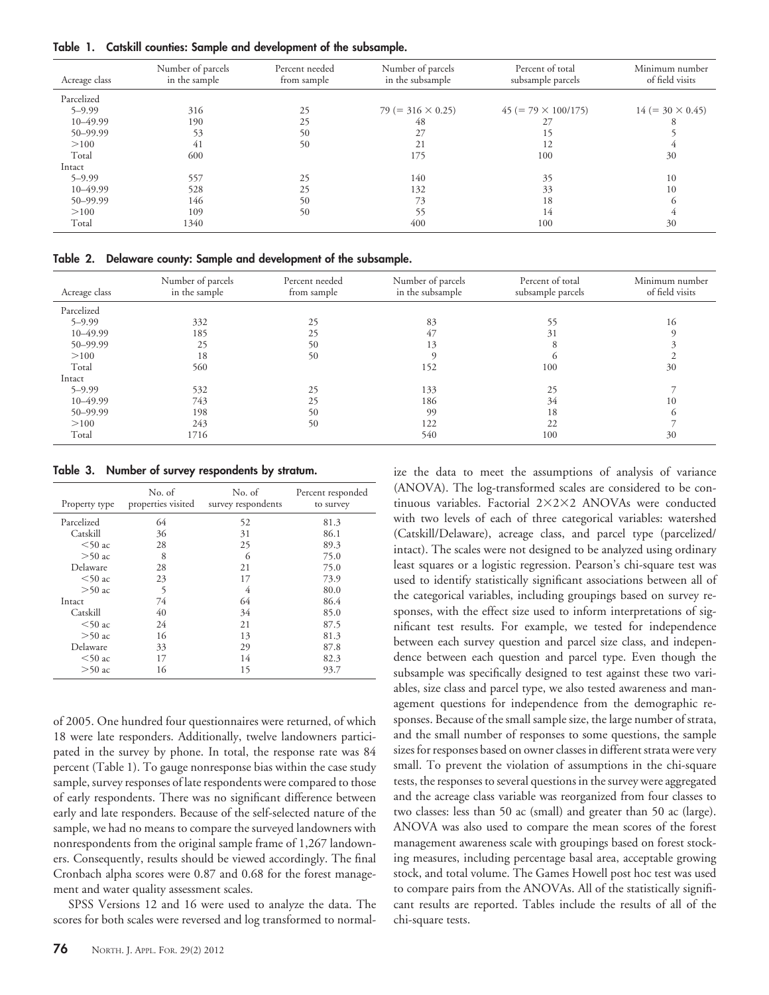**Table 1. Catskill counties: Sample and development of the subsample.**

| Acreage class | Number of parcels<br>in the sample | Percent needed<br>from sample | Number of parcels<br>in the subsample | Percent of total<br>subsample parcels | Minimum number<br>of field visits |
|---------------|------------------------------------|-------------------------------|---------------------------------------|---------------------------------------|-----------------------------------|
| Parcelized    |                                    |                               |                                       |                                       |                                   |
| $5 - 9.99$    | 316                                | 25                            | $79 (= 316 \times 0.25)$              | $45 (= 79 \times 100/175)$            | $14 (= 30 \times 0.45)$           |
| 10-49.99      | 190                                | 25                            | 48                                    | 27                                    |                                   |
| 50-99.99      | 53                                 | 50                            | 27                                    | 15                                    |                                   |
| >100          | 41                                 | 50                            | 21                                    |                                       |                                   |
| Total         | 600                                |                               | 175                                   | 100                                   | 30                                |
| Intact        |                                    |                               |                                       |                                       |                                   |
| $5 - 9.99$    | 557                                | 25                            | 140                                   | 35                                    | 10                                |
| 10-49.99      | 528                                | 25                            | 132                                   | 33                                    | 10                                |
| 50-99.99      | 146                                | 50                            | 73                                    | 18                                    | $\mathfrak{h}$                    |
| >100          | 109                                | 50                            | 55                                    | 14                                    |                                   |
| Total         | 1340                               |                               | 400                                   | 100                                   | 30                                |

**Table 2. Delaware county: Sample and development of the subsample.**

| Acreage class | Number of parcels<br>in the sample | Percent needed<br>from sample | Number of parcels<br>in the subsample | Percent of total<br>subsample parcels | Minimum number<br>of field visits |
|---------------|------------------------------------|-------------------------------|---------------------------------------|---------------------------------------|-----------------------------------|
| Parcelized    |                                    |                               |                                       |                                       |                                   |
| $5 - 9.99$    | 332                                | 25                            | 83                                    | 55                                    | 16                                |
| $10 - 49.99$  | 185                                | 25                            | 47                                    | 31                                    |                                   |
| 50-99.99      | 25                                 | 50                            | 13                                    |                                       |                                   |
| >100          | 18                                 | 50                            |                                       |                                       |                                   |
| Total         | 560                                |                               | 152                                   | 100                                   | 30                                |
| Intact        |                                    |                               |                                       |                                       |                                   |
| $5 - 9.99$    | 532                                | 25                            | 133                                   | 25                                    |                                   |
| $10 - 49.99$  | 743                                | 25                            | 186                                   | 34                                    | 10                                |
| 50-99.99      | 198                                | 50                            | 99                                    | 18                                    | $\Gamma$                          |
| >100          | 243                                | 50                            | 122                                   | 22                                    |                                   |
| Total         | 1716                               |                               | 540                                   | 100                                   | 30                                |

**Table 3. Number of survey respondents by stratum.**

| Property type | No. of<br>properties visited | No. of<br>survey respondents | Percent responded<br>to survey |
|---------------|------------------------------|------------------------------|--------------------------------|
| Parcelized    | 64                           | 52                           | 81.3                           |
| Catskill      | 36                           | 31                           | 86.1                           |
| $<$ 50 ac     | 28                           | 25                           | 89.3                           |
| $>50$ ac      | 8                            | 6                            | 75.0                           |
| Delaware      | 28                           | 21                           | 75.0                           |
| $<$ 50 ac     | 23                           | 17                           | 73.9                           |
| $>50$ ac      | 5                            | 4                            | 80.0                           |
| Intact        | 74                           | 64                           | 86.4                           |
| Catskill      | 40                           | 34                           | 85.0                           |
| $<$ 50 ac     | 24                           | 21                           | 87.5                           |
| $>50$ ac      | 16                           | 13                           | 81.3                           |
| Delaware      | 33                           | 29                           | 87.8                           |
| $<$ 50 ac     | 17                           | 14                           | 82.3                           |
| $>50$ ac      | 16                           | 15                           | 93.7                           |

of 2005. One hundred four questionnaires were returned, of which 18 were late responders. Additionally, twelve landowners participated in the survey by phone. In total, the response rate was 84 percent (Table 1). To gauge nonresponse bias within the case study sample, survey responses of late respondents were compared to those of early respondents. There was no significant difference between early and late responders. Because of the self-selected nature of the sample, we had no means to compare the surveyed landowners with nonrespondents from the original sample frame of 1,267 landowners. Consequently, results should be viewed accordingly. The final Cronbach alpha scores were 0.87 and 0.68 for the forest management and water quality assessment scales.

SPSS Versions 12 and 16 were used to analyze the data. The scores for both scales were reversed and log transformed to normal-

tinuous variables. Factorial 2×2×2 ANOVAs were conducted with two levels of each of three categorical variables: watershed (Catskill/Delaware), acreage class, and parcel type (parcelized/ intact). The scales were not designed to be analyzed using ordinary least squares or a logistic regression. Pearson's chi-square test was used to identify statistically significant associations between all of the categorical variables, including groupings based on survey responses, with the effect size used to inform interpretations of significant test results. For example, we tested for independence between each survey question and parcel size class, and independence between each question and parcel type. Even though the subsample was specifically designed to test against these two variables, size class and parcel type, we also tested awareness and management questions for independence from the demographic responses. Because of the small sample size, the large number of strata, and the small number of responses to some questions, the sample sizes for responses based on owner classes in different strata were very small. To prevent the violation of assumptions in the chi-square tests, the responses to several questions in the survey were aggregated and the acreage class variable was reorganized from four classes to two classes: less than 50 ac (small) and greater than 50 ac (large). ANOVA was also used to compare the mean scores of the forest management awareness scale with groupings based on forest stocking measures, including percentage basal area, acceptable growing stock, and total volume. The Games Howell post hoc test was used to compare pairs from the ANOVAs. All of the statistically significant results are reported. Tables include the results of all of the chi-square tests.

ize the data to meet the assumptions of analysis of variance (ANOVA). The log-transformed scales are considered to be con-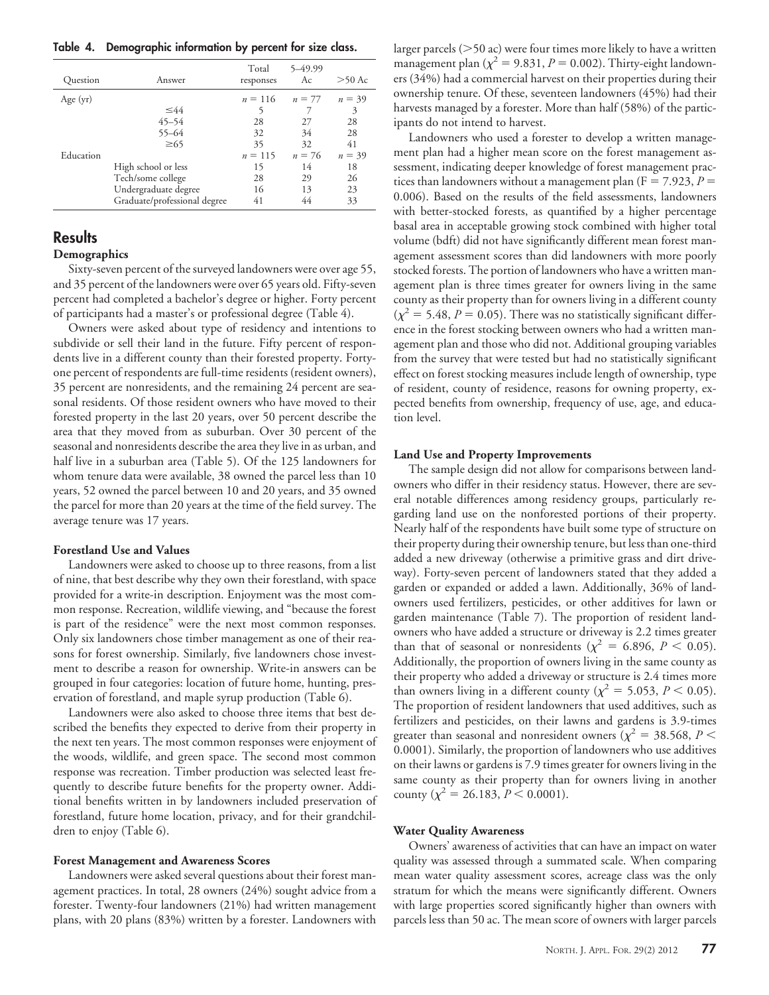**Table 4. Demographic information by percent for size class.**

| Ouestion   | Answer                       | Total<br>responses | 5-49.99<br>Ac | $>50$ Ac |
|------------|------------------------------|--------------------|---------------|----------|
| Age $(yr)$ |                              | $n = 116$          | $n = 77$      | $n = 39$ |
|            | $\leq 44$                    | 5                  |               | 3        |
|            | $45 - 54$                    | 28                 | 27            | 28       |
|            | $55 - 64$                    | 32                 | 34            | 28       |
|            | $\geq 65$                    | 35                 | 32            | 41       |
| Education  |                              | $n = 115$          | $n = 76$      | $n = 39$ |
|            | High school or less          | 15                 | 14            | 18       |
|            | Tech/some college            | 28                 | 29            | 26       |
|            | Undergraduate degree         | 16                 | 13            | 23       |
|            | Graduate/professional degree | 41                 | 44            | 33       |

# **Results**

## **Demographics**

Sixty-seven percent of the surveyed landowners were over age 55, and 35 percent of the landowners were over 65 years old. Fifty-seven percent had completed a bachelor's degree or higher. Forty percent of participants had a master's or professional degree (Table 4).

Owners were asked about type of residency and intentions to subdivide or sell their land in the future. Fifty percent of respondents live in a different county than their forested property. Fortyone percent of respondents are full-time residents (resident owners), 35 percent are nonresidents, and the remaining 24 percent are seasonal residents. Of those resident owners who have moved to their forested property in the last 20 years, over 50 percent describe the area that they moved from as suburban. Over 30 percent of the seasonal and nonresidents describe the area they live in as urban, and half live in a suburban area (Table 5). Of the 125 landowners for whom tenure data were available, 38 owned the parcel less than 10 years, 52 owned the parcel between 10 and 20 years, and 35 owned the parcel for more than 20 years at the time of the field survey. The average tenure was 17 years.

## **Forestland Use and Values**

Landowners were asked to choose up to three reasons, from a list of nine, that best describe why they own their forestland, with space provided for a write-in description. Enjoyment was the most common response. Recreation, wildlife viewing, and "because the forest is part of the residence" were the next most common responses. Only six landowners chose timber management as one of their reasons for forest ownership. Similarly, five landowners chose investment to describe a reason for ownership. Write-in answers can be grouped in four categories: location of future home, hunting, preservation of forestland, and maple syrup production (Table 6).

Landowners were also asked to choose three items that best described the benefits they expected to derive from their property in the next ten years. The most common responses were enjoyment of the woods, wildlife, and green space. The second most common response was recreation. Timber production was selected least frequently to describe future benefits for the property owner. Additional benefits written in by landowners included preservation of forestland, future home location, privacy, and for their grandchildren to enjoy (Table 6).

#### **Forest Management and Awareness Scores**

Landowners were asked several questions about their forest management practices. In total, 28 owners (24%) sought advice from a forester. Twenty-four landowners (21%) had written management plans, with 20 plans (83%) written by a forester. Landowners with

larger parcels  $(>50$  ac) were four times more likely to have a written management plan ( $\chi^2$  = 9.831, *P* = 0.002). Thirty-eight landowners (34%) had a commercial harvest on their properties during their ownership tenure. Of these, seventeen landowners (45%) had their harvests managed by a forester. More than half (58%) of the participants do not intend to harvest.

Landowners who used a forester to develop a written management plan had a higher mean score on the forest management assessment, indicating deeper knowledge of forest management practices than landowners without a management plan ( $F = 7.923$ ,  $P =$ 0.006). Based on the results of the field assessments, landowners with better-stocked forests, as quantified by a higher percentage basal area in acceptable growing stock combined with higher total volume (bdft) did not have significantly different mean forest management assessment scores than did landowners with more poorly stocked forests. The portion of landowners who have a written management plan is three times greater for owners living in the same county as their property than for owners living in a different county  $(\chi^2 = 5.48, P = 0.05)$ . There was no statistically significant difference in the forest stocking between owners who had a written management plan and those who did not. Additional grouping variables from the survey that were tested but had no statistically significant effect on forest stocking measures include length of ownership, type of resident, county of residence, reasons for owning property, expected benefits from ownership, frequency of use, age, and education level.

## **Land Use and Property Improvements**

The sample design did not allow for comparisons between landowners who differ in their residency status. However, there are several notable differences among residency groups, particularly regarding land use on the nonforested portions of their property. Nearly half of the respondents have built some type of structure on their property during their ownership tenure, but less than one-third added a new driveway (otherwise a primitive grass and dirt driveway). Forty-seven percent of landowners stated that they added a garden or expanded or added a lawn. Additionally, 36% of landowners used fertilizers, pesticides, or other additives for lawn or garden maintenance (Table 7). The proportion of resident landowners who have added a structure or driveway is 2.2 times greater than that of seasonal or nonresidents ( $\chi^2 = 6.896, P < 0.05$ ). Additionally, the proportion of owners living in the same county as their property who added a driveway or structure is 2.4 times more than owners living in a different county ( $\chi^2$  = 5.053, *P* < 0.05). The proportion of resident landowners that used additives, such as fertilizers and pesticides, on their lawns and gardens is 3.9-times greater than seasonal and nonresident owners ( $\chi^2$  = 38.568, *P* < 0.0001). Similarly, the proportion of landowners who use additives on their lawns or gardens is 7.9 times greater for owners living in the same county as their property than for owners living in another county ( $\chi^2$  = 26.183, *P* < 0.0001).

#### **Water Quality Awareness**

Owners' awareness of activities that can have an impact on water quality was assessed through a summated scale. When comparing mean water quality assessment scores, acreage class was the only stratum for which the means were significantly different. Owners with large properties scored significantly higher than owners with parcels less than 50 ac. The mean score of owners with larger parcels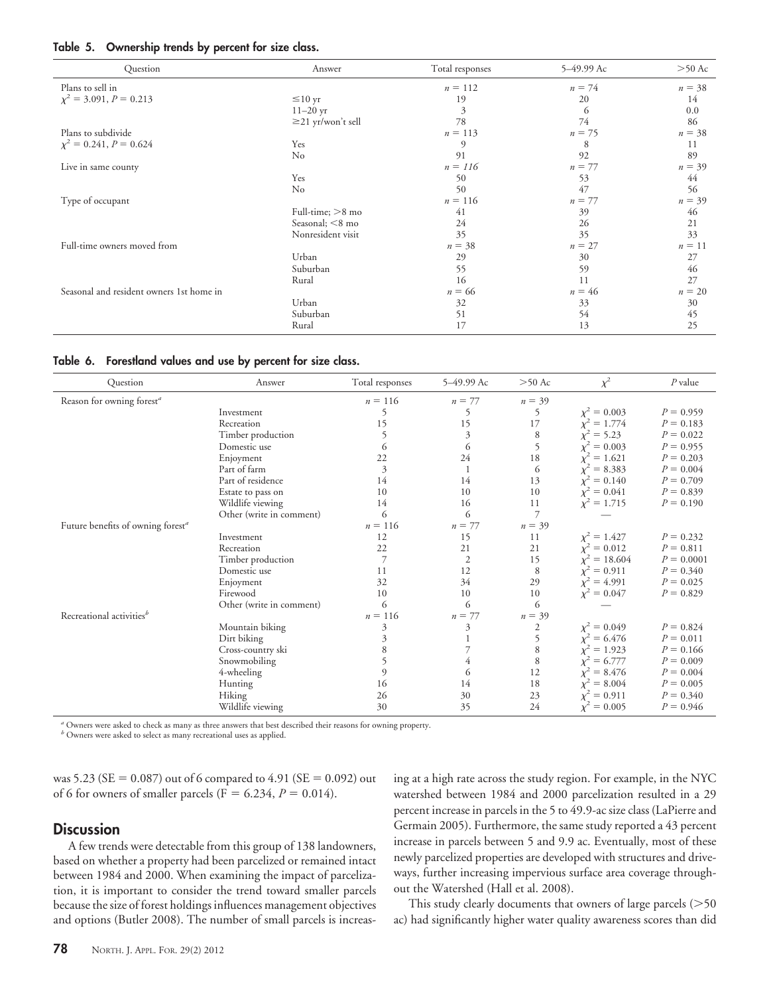|  | Table 5. Ownership trends by percent for size class. |  |  |  |
|--|------------------------------------------------------|--|--|--|
|  |                                                      |  |  |  |

| Question                                 | Answer                  | Total responses | 5-49.99 Ac | $>50$ Ac |
|------------------------------------------|-------------------------|-----------------|------------|----------|
| Plans to sell in                         |                         | $n = 112$       | $n = 74$   | $n = 38$ |
| $\chi^2 = 3.091, P = 0.213$              | $\leq 10$ yr            | 19              | 20         | 14       |
|                                          | $11 - 20$ yr            | 3               | 6          | 0.0      |
|                                          | $\geq$ 21 yr/won't sell | 78              | 74         | 86       |
| Plans to subdivide                       |                         | $n = 113$       | $n = 75$   | $n = 38$ |
| $\chi^2 = 0.241, P = 0.624$              | Yes                     | 9               | 8          | 11       |
|                                          | $\rm No$                | 91              | 92         | 89       |
| Live in same county                      |                         | $n = 116$       | $n = 77$   | $n = 39$ |
|                                          | Yes                     | 50              | 53         | 44       |
|                                          | No                      | 50              | 47         | 56       |
| Type of occupant                         |                         | $n = 116$       | $n = 77$   | $n = 39$ |
|                                          | Full-time; $>8$ mo      | 41              | 39         | 46       |
|                                          | Seasonal; $\leq$ 8 mo   | 24              | 26         | 21       |
|                                          | Nonresident visit       | 35              | 35         | 33       |
| Full-time owners moved from              |                         | $n = 38$        | $n = 27$   | $n = 11$ |
|                                          | Urban                   | 29              | 30         | 27       |
|                                          | Suburban                | 55              | 59         | 46       |
|                                          | Rural                   | 16              | 11         | 27       |
| Seasonal and resident owners 1st home in |                         | $n = 66$        | $n = 46$   | $n = 20$ |
|                                          | Urban                   | 32              | 33         | 30       |
|                                          | Suburban                | 51              | 54         | 45       |
|                                          | Rural                   | 17              | 13         | 25       |

**Table 6. Forestland values and use by percent for size class.**

| Question                                      | Answer                   | Total responses | 5-49.99 Ac     | $>50$ Ac       | $\chi^2$         | $P$ value    |
|-----------------------------------------------|--------------------------|-----------------|----------------|----------------|------------------|--------------|
| Reason for owning forest <sup>a</sup>         |                          | $n = 116$       | $n = 77$       | $n = 39$       |                  |              |
|                                               | Investment               | 5               | 5              | 5              | $\chi^2 = 0.003$ | $P = 0.959$  |
|                                               | Recreation               | 15              | 15             | 17             | $\chi^2 = 1.774$ | $P = 0.183$  |
|                                               | Timber production        | 5               | 3              | 8              | $= 5.23$         | $P = 0.022$  |
|                                               | Domestic use             | 6               | 6              | 5              | $= 0.003$        | $P = 0.955$  |
|                                               | Enjoyment                | 22              | 24             | 18             | $= 1.621$        | $P = 0.203$  |
|                                               | Part of farm             | 3               |                | 6              | $= 8.383$        | $P = 0.004$  |
|                                               | Part of residence        | 14              | 14             | 13             | $x^2 = 0.140$    | $P = 0.709$  |
|                                               | Estate to pass on        | 10              | 10             | 10             | $\chi^2 = 0.041$ | $P = 0.839$  |
|                                               | Wildlife viewing         | 14              | 16             | 11             | $\chi^2 = 1.715$ | $P = 0.190$  |
|                                               | Other (write in comment) | 6               | 6              | $\overline{7}$ |                  |              |
| Future benefits of owning forest <sup>a</sup> |                          | $n = 116$       | $n = 77$       | $n = 39$       |                  |              |
|                                               | Investment               | 12              | 15             | 11             | $\chi^2 = 1.427$ | $P = 0.232$  |
|                                               | Recreation               | 22              | 21             | 21             | $\chi^2 = 0.012$ | $P = 0.811$  |
|                                               | Timber production        | $\overline{7}$  | $\mathfrak{2}$ | 15             | $x^2 = 18.604$   | $P = 0.0001$ |
|                                               | Domestic use             | 11              | 12             | 8              | $= 0.911$        | $P = 0.340$  |
|                                               | Enjoyment                | 32              | 34             | 29             | $\chi^2 = 4.991$ | $P = 0.025$  |
|                                               | Firewood                 | 10              | 10             | 10             | $\chi^2 = 0.047$ | $P = 0.829$  |
|                                               | Other (write in comment) | 6               | 6              | 6              |                  |              |
| Recreational activities <sup>b</sup>          |                          | $n = 116$       | $n = 77$       | $n = 39$       |                  |              |
|                                               | Mountain biking          | 3               | 3              | 2              | $\chi^2 = 0.049$ | $P = 0.824$  |
|                                               | Dirt biking              | 3               |                | 5              | $x^2 = 6.476$    | $P = 0.011$  |
|                                               | Cross-country ski        | 8               | 7              | 8              | $= 1.923$        | $P = 0.166$  |
|                                               | Snowmobiling             |                 | 4              | 8              | $= 6.777$        | $P = 0.009$  |
|                                               | 4-wheeling               | 9               | 6              | 12             | $= 8.476$        | $P = 0.004$  |
|                                               | Hunting                  | 16              | 14             | 18             | $\chi^2 = 8.004$ | $P = 0.005$  |
|                                               | Hiking                   | 26              | 30             | 23             | $\chi^2 = 0.911$ | $P = 0.340$  |
|                                               | Wildlife viewing         | 30              | 35             | 24             | $\chi^2 = 0.005$ | $P = 0.946$  |

*<sup>a</sup>* Owners were asked to check as many as three answers that best described their reasons for owning property.

*<sup>b</sup>* Owners were asked to select as many recreational uses as applied.

was 5.23 (SE = 0.087) out of 6 compared to 4.91 (SE = 0.092) out of 6 for owners of smaller parcels ( $F = 6.234$ ,  $P = 0.014$ ).

# **Discussion**

A few trends were detectable from this group of 138 landowners, based on whether a property had been parcelized or remained intact between 1984 and 2000. When examining the impact of parcelization, it is important to consider the trend toward smaller parcels because the size of forest holdings influences management objectives and options (Butler 2008). The number of small parcels is increas-

ing at a high rate across the study region. For example, in the NYC watershed between 1984 and 2000 parcelization resulted in a 29 percent increase in parcels in the 5 to 49.9-ac size class (LaPierre and Germain 2005). Furthermore, the same study reported a 43 percent increase in parcels between 5 and 9.9 ac. Eventually, most of these newly parcelized properties are developed with structures and driveways, further increasing impervious surface area coverage throughout the Watershed (Hall et al. 2008).

This study clearly documents that owners of large parcels  $(>\,50$ ac) had significantly higher water quality awareness scores than did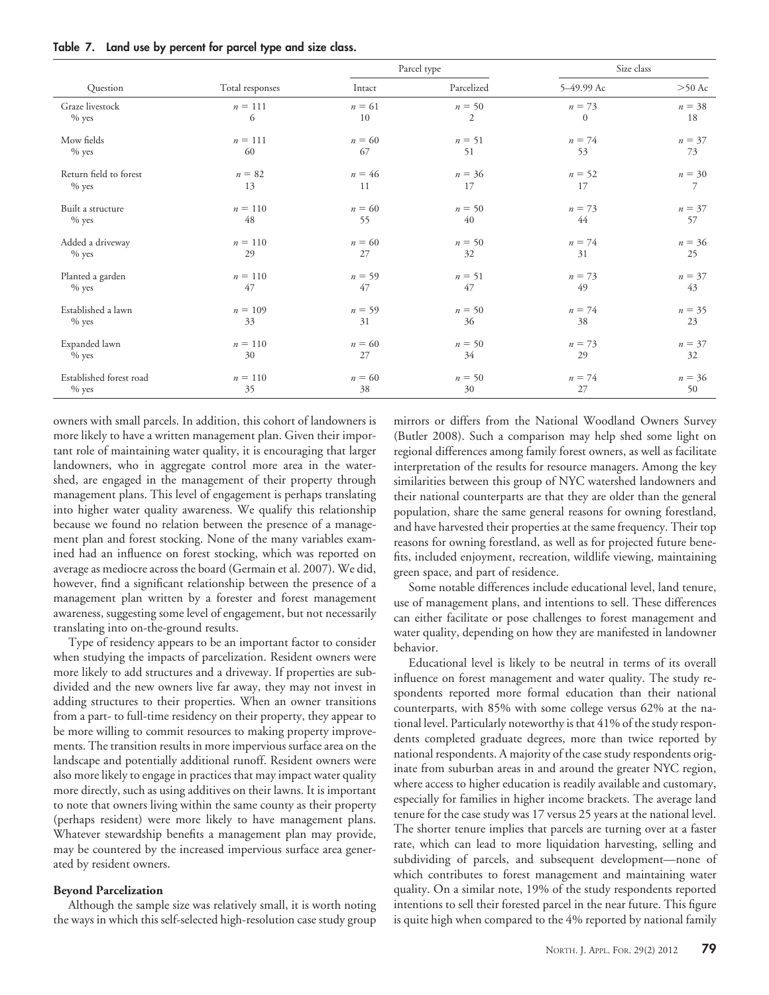| Table 7. |  |  |  |  |  |  | Land use by percent for parcel type and size class. |  |  |  |  |  |  |  |  |
|----------|--|--|--|--|--|--|-----------------------------------------------------|--|--|--|--|--|--|--|--|
|----------|--|--|--|--|--|--|-----------------------------------------------------|--|--|--|--|--|--|--|--|

|                         |                 |          | Parcel type    | Size class   |          |  |
|-------------------------|-----------------|----------|----------------|--------------|----------|--|
| Question                | Total responses | Intact   | Parcelized     | 5-49.99 Ac   | $>50$ Ac |  |
| Graze livestock         | $n = 111$       | $n = 61$ | $n = 50$       | $n = 73$     | $n = 38$ |  |
| $%$ yes                 | 6               | 10       | $\overline{2}$ | $\mathbf{0}$ | 18       |  |
| Mow fields              | $n = 111$       | $n = 60$ | $n = 51$       | $n = 74$     | $n = 37$ |  |
| $%$ yes                 | 60              | 67       | 51             | 53           | 73       |  |
| Return field to forest  | $n = 82$        | $n = 46$ | $n = 36$       | $n = 52$     | $n = 30$ |  |
| $%$ yes                 | 13              | 11       | 17             | 17           | 7        |  |
| Built a structure       | $n = 110$       | $n = 60$ | $n = 50$       | $n = 73$     | $n = 37$ |  |
| $%$ yes                 | 48              | 55       | 40             | 44           | 57       |  |
| Added a driveway        | $n = 110$       | $n = 60$ | $n = 50$       | $n = 74$     | $n = 36$ |  |
| $\%$ yes                | 29              | 27       | 32             | 31           | 25       |  |
| Planted a garden        | $n = 110$       | $n = 59$ | $n = 51$       | $n = 73$     | $n = 37$ |  |
| $%$ yes                 | 47              | 47       | 47             | 49           | 43       |  |
| Established a lawn      | $n = 109$       | $n = 59$ | $n = 50$       | $n = 74$     | $n = 35$ |  |
| $%$ yes                 | 33              | 31       | 36             | 38           | 23       |  |
| Expanded lawn           | $n = 110$       | $n = 60$ | $n = 50$       | $n = 73$     | $n = 37$ |  |
| $%$ yes                 | 30              | 27       | 34             | 29           | 32       |  |
| Established forest road | $n = 110$       | $n = 60$ | $n = 50$       | $n = 74$     | $n = 36$ |  |
| $%$ yes                 | 35              | 38       | 30             | 27           | 50       |  |

owners with small parcels. In addition, this cohort of landowners is more likely to have a written management plan. Given their important role of maintaining water quality, it is encouraging that larger landowners, who in aggregate control more area in the watershed, are engaged in the management of their property through management plans. This level of engagement is perhaps translating into higher water quality awareness. We qualify this relationship because we found no relation between the presence of a management plan and forest stocking. None of the many variables examined had an influence on forest stocking, which was reported on average as mediocre across the board (Germain et al. 2007). We did, however, find a significant relationship between the presence of a management plan written by a forester and forest management awareness, suggesting some level of engagement, but not necessarily translating into on-the-ground results.

Type of residency appears to be an important factor to consider when studying the impacts of parcelization. Resident owners were more likely to add structures and a driveway. If properties are subdivided and the new owners live far away, they may not invest in adding structures to their properties. When an owner transitions from a part- to full-time residency on their property, they appear to be more willing to commit resources to making property improvements. The transition results in more impervious surface area on the landscape and potentially additional runoff. Resident owners were also more likely to engage in practices that may impact water quality more directly, such as using additives on their lawns. It is important to note that owners living within the same county as their property (perhaps resident) were more likely to have management plans. Whatever stewardship benefits a management plan may provide, may be countered by the increased impervious surface area generated by resident owners.

## **Beyond Parcelization**

Although the sample size was relatively small, it is worth noting the ways in which this self-selected high-resolution case study group mirrors or differs from the National Woodland Owners Survey (Butler 2008). Such a comparison may help shed some light on regional differences among family forest owners, as well as facilitate interpretation of the results for resource managers. Among the key similarities between this group of NYC watershed landowners and their national counterparts are that they are older than the general population, share the same general reasons for owning forestland, and have harvested their properties at the same frequency. Their top reasons for owning forestland, as well as for projected future benefits, included enjoyment, recreation, wildlife viewing, maintaining green space, and part of residence.

Some notable differences include educational level, land tenure, use of management plans, and intentions to sell. These differences can either facilitate or pose challenges to forest management and water quality, depending on how they are manifested in landowner behavior.

Educational level is likely to be neutral in terms of its overall influence on forest management and water quality. The study respondents reported more formal education than their national counterparts, with 85% with some college versus 62% at the national level. Particularly noteworthy is that 41% of the study respondents completed graduate degrees, more than twice reported by national respondents. A majority of the case study respondents originate from suburban areas in and around the greater NYC region, where access to higher education is readily available and customary, especially for families in higher income brackets. The average land tenure for the case study was 17 versus 25 years at the national level. The shorter tenure implies that parcels are turning over at a faster rate, which can lead to more liquidation harvesting, selling and subdividing of parcels, and subsequent development—none of which contributes to forest management and maintaining water quality. On a similar note, 19% of the study respondents reported intentions to sell their forested parcel in the near future. This figure is quite high when compared to the 4% reported by national family